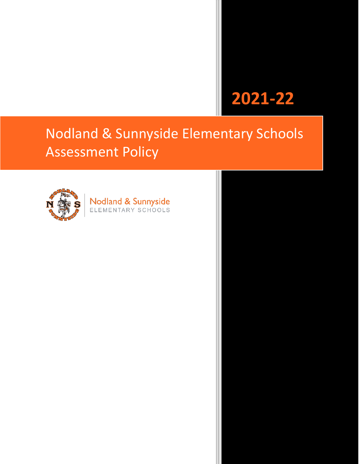# **2021-22**

# Nodland & Sunnyside Elementary Schools Assessment Policy



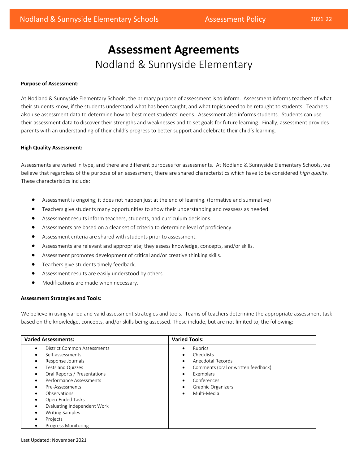# **Assessment Agreements**  Nodland & Sunnyside Elementary

### **Purpose of Assessment:**

 At Nodland & Sunnyside Elementary Schools, the primary purpose of assessment is to inform. Assessment informs teachers of what their students know, if the students understand what has been taught, and what topics need to be retaught to students. Teachers also use assessment data to determine how to best meet students' needs. Assessment also informs students. Students can use their assessment data to discover their strengths and weaknesses and to set goals for future learning. Finally, assessment provides parents with an understanding of their child's progress to better support and celebrate their child's learning.

#### **High Quality Assessment:**

 Assessments are varied in type, and there are different purposes for assessments. At Nodland & Sunnyside Elementary Schools, we believe that regardless of the purpose of an assessment, there are shared characteristics which have to be considered *high quality.*<br>These characteristics include:

- Assessment is ongoing; it does not happen just at the end of learning. (formative and summative)
- Teachers give students many opportunities to show their understanding and reassess as needed.
- Assessment results inform teachers, students, and curriculum decisions.
- Assessments are based on a clear set of criteria to determine level of proficiency.
- Assessment criteria are shared with students prior to assessment.
- Assessments are relevant and appropriate; they assess knowledge, concepts, and/or skills.
- Assessment promotes development of critical and/or creative thinking skills.
- Teachers give students timely feedback.
- Assessment results are easily understood by others.
- Modifications are made when necessary.

# **Assessment Strategies and Tools:**

 We believe in using varied and valid assessment strategies and tools. Teams of teachers determine the appropriate assessment task based on the knowledge, concepts, and/or skills being assessed. These include, but are not limited to, the following:

| <b>Varied Assessments:</b>                                                                                                                                                                                                                                                                                               | <b>Varied Tools:</b>                                                                                                                                                                                                       |
|--------------------------------------------------------------------------------------------------------------------------------------------------------------------------------------------------------------------------------------------------------------------------------------------------------------------------|----------------------------------------------------------------------------------------------------------------------------------------------------------------------------------------------------------------------------|
| District Common Assessments<br>Self-assessments<br>Response Journals<br>Tests and Quizzes<br>٠<br>Oral Reports / Presentations<br>Performance Assessments<br>Pre-Assessments<br>Observations<br>Open-Ended Tasks<br>Evaluating Independent Work<br><b>Writing Samples</b><br>٠<br>Projects<br><b>Progress Monitoring</b> | <b>Rubrics</b><br>$\bullet$<br>Checklists<br>$\bullet$<br>Anecdotal Records<br>Comments (oral or written feedback)<br>Exemplars<br>Conferences<br>$\bullet$<br>Graphic Organizers<br>$\bullet$<br>Multi-Media<br>$\bullet$ |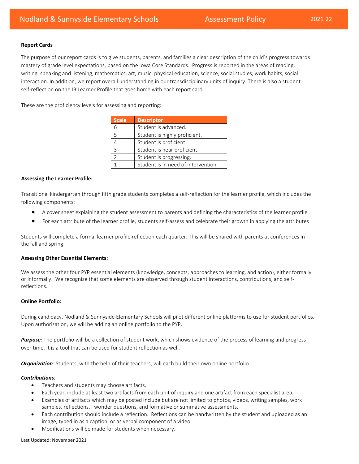#### **Report Cards**

 mastery of grade level expectations, based on the Iowa Core Standards. Progress is reported in the areas of reading, The purpose of our report cards is to give students, parents, and families a clear description of the child's progress towards writing, speaking and listening, mathematics, art, music, physical education, science, social studies, work habits, social interaction. In addition, we report overall understanding in our transdisciplinary units of inquiry. There is also a student

self-reflection on the IB Learner Profile that goes home with each report card.<br>These are the proficiency levels for assessing and reporting:

| <b>Scale</b> | <b>Descriptor</b>                   |
|--------------|-------------------------------------|
| 6            | Student is advanced.                |
| 5            | Student is highly proficient.       |
|              | Student is proficient.              |
| 3            | Student is near proficient.         |
|              | Student is progressing.             |
|              | Student is in need of intervention. |

#### **Assessing the Learner Profile:**

Transitional kindergarten through fifth grade students completes a self-reflection for the learner profile, which includes the following components:

- A cover sheet explaining the student assessment to parents and defining the characteristics of the learner profile
- For each attribute of the learner profile, students self-assess and celebrate their growth in applying the attributes

Students will complete a formal learner profile reflection each quarter. This will be shared with parents at conferences in the fall and spring.

#### **Assessing Other Essential Elements:**

 or informally. We recognize that some elements are observed through student interactions, contributions, and self- reflections. We assess the other four PYP essential elements (knowledge, concepts, approaches to learning, and action), either formally

# **Online Portfolio:**

 During candidacy, Nodland & Sunnyside Elementary Schools will pilot different online platforms to use for student portfolios. Upon authorization, we will be adding an online portfolio to the PYP.

*Purpose:* The portfolio will be a collection of student work, which shows evidence of the process of learning and progress over time. It is a tool that can be used for student reflection as well.

*Organization:* Students, with the help of their teachers, will each build their own online portfolio.

#### *Contributions:*

- Teachers and students may choose artifacts.
- Each year, include at least two artifacts from each unit of inquiry and one artifact from each specialist area.
- Examples of artifacts which may be posted include but are not limited to photos, videos, writing samples, work samples, reflections, I wonder questions, and formative or summative assessments.
- • Each contribution should include a reflection. Reflections can be handwritten by the student and uploaded as an image, typed in as a caption, or as verbal component of a video.
- Modifications will be made for students when necessary.

#### Last Updated: November 2021